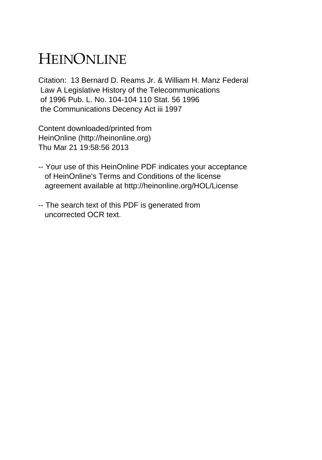## HEINONLINE

Citation: 13 Bernard D. Reams Jr. & William H. Manz Federal Law A Legislative History of the Telecommunications of 1996 Pub. L. No. 104-104 110 Stat. 56 1996 the Communications Decency Act iii 1997

Content downloaded/printed from HeinOnline (http://heinonline.org) Thu Mar 21 19:58:56 2013

- -- Your use of this HeinOnline PDF indicates your acceptance of HeinOnline's Terms and Conditions of the license agreement available at http://heinonline.org/HOL/License
- -- The search text of this PDF is generated from uncorrected OCR text.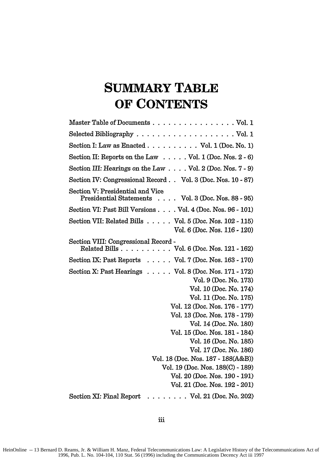## **SUMMARY TABLE OF CONTENTS**

| Master Table of Documents Vol. 1                                                                                                                                                                                                                                                                                                                                                                                                                                                    |
|-------------------------------------------------------------------------------------------------------------------------------------------------------------------------------------------------------------------------------------------------------------------------------------------------------------------------------------------------------------------------------------------------------------------------------------------------------------------------------------|
| Selected Bibliography $\ldots \ldots \ldots \ldots \ldots \ldots \ldots$ Vol. 1                                                                                                                                                                                                                                                                                                                                                                                                     |
| Section I: Law as Enacted $\ldots \ldots \ldots \ldots$ Vol. 1 (Doc. No. 1)                                                                                                                                                                                                                                                                                                                                                                                                         |
| Section II: Reports on the Law $\dots$ . Vol. 1 (Doc. Nos. 2 - 6)                                                                                                                                                                                                                                                                                                                                                                                                                   |
| Section III: Hearings on the Law $\ldots$ . Vol. 2 (Doc. Nos. 7 - 9)                                                                                                                                                                                                                                                                                                                                                                                                                |
| Section IV: Congressional Record Vol. 3 (Doc. Nos. 10 - 87)                                                                                                                                                                                                                                                                                                                                                                                                                         |
| Section V: Presidential and Vice<br>Presidential Statements Vol. 3 (Doc. Nos. 88 - 95)                                                                                                                                                                                                                                                                                                                                                                                              |
| Section VI: Past Bill Versions Vol. 4 (Doc. Nos. 96 - 101)                                                                                                                                                                                                                                                                                                                                                                                                                          |
| Section VII: Related Bills $\ldots$ . Vol. 5 (Doc. Nos. 102 - 115)<br>Vol. 6 (Doc. Nos. 116 - 120)                                                                                                                                                                                                                                                                                                                                                                                  |
| Section VIII: Congressional Record -<br>Related Bills Vol. 6 (Doc. Nos. 121 - 162)                                                                                                                                                                                                                                                                                                                                                                                                  |
| Section IX: Past Reports $\ldots$ Vol. 7 (Doc. Nos. 163 - 170)                                                                                                                                                                                                                                                                                                                                                                                                                      |
| Section X: Past Hearings $\ldots$ . $\ldots$ Vol. 8 (Doc. Nos. 171 - 172)<br>Vol. 9 (Doc. No. 173)<br>Vol. 10 (Doc. No. 174)<br>Vol. 11 (Doc. No. 175)<br>Vol. 12 (Doc. Nos. 176 - 177)<br>Vol. 13 (Doc. Nos. 178 - 179)<br>Vol. 14 (Doc. No. 180)<br>Vol. 15 (Doc. Nos. 181 - 184)<br>Vol. 16 (Doc. No. 185)<br>Vol. 17 (Doc. No. 186)<br>Vol. 18 (Doc. Nos. 187 - 188(A&B))<br>Vol. 19 (Doc. Nos. 188(C) - 189)<br>Vol. 20 (Doc. Nos. 190 - 191)<br>Vol. 21 (Doc. Nos. 192 - 201) |
| $\ldots$ Vol. 21 (Doc. No. 202)<br>Section XI: Final Report                                                                                                                                                                                                                                                                                                                                                                                                                         |